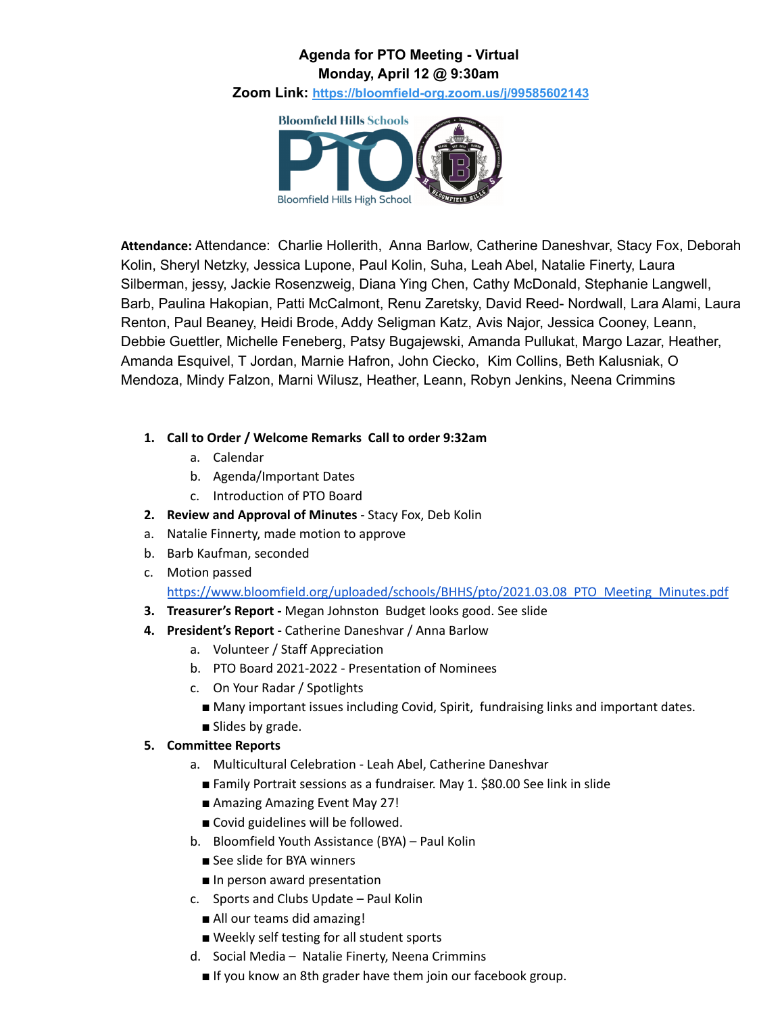## **Agenda for PTO Meeting - Virtual Monday, April 12 @ 9:30am**

**Zoom Link: <https://bloomfield-org.zoom.us/j/99585602143>**



**Attendance:** Attendance: Charlie Hollerith, Anna Barlow, Catherine Daneshvar, Stacy Fox, Deborah Kolin, Sheryl Netzky, Jessica Lupone, Paul Kolin, Suha, Leah Abel, Natalie Finerty, Laura Silberman, jessy, Jackie Rosenzweig, Diana Ying Chen, Cathy McDonald, Stephanie Langwell, Barb, Paulina Hakopian, Patti McCalmont, Renu Zaretsky, David Reed- Nordwall, Lara Alami, Laura Renton, Paul Beaney, Heidi Brode, Addy Seligman Katz, Avis Najor, Jessica Cooney, Leann, Debbie Guettler, Michelle Feneberg, Patsy Bugajewski, Amanda Pullukat, Margo Lazar, Heather, Amanda Esquivel, T Jordan, Marnie Hafron, John Ciecko, Kim Collins, Beth Kalusniak, O Mendoza, Mindy Falzon, Marni Wilusz, Heather, Leann, Robyn Jenkins, Neena Crimmins

## **1. Call to Order / Welcome Remarks Call to order 9:32am**

- a. Calendar
- b. Agenda/Important Dates
- c. Introduction of PTO Board
- **2. Review and Approval of Minutes** Stacy Fox, Deb Kolin
- a. Natalie Finnerty, made motion to approve
- b. Barb Kaufman, seconded
- c. Motion passed

[https://www.bloomfield.org/uploaded/schools/BHHS/pto/2021.03.08\\_PTO\\_Meeting\\_Minutes.pdf](https://www.bloomfield.org/uploaded/schools/BHHS/pto/2021.03.08_PTO_Meeting_Minutes.pdf)

- **3. Treasurer's Report -** Megan Johnston Budget looks good. See slide
- **4. President's Report -** Catherine Daneshvar / Anna Barlow
	- a. Volunteer / Staff Appreciation
	- b. PTO Board 2021-2022 Presentation of Nominees
	- c. On Your Radar / Spotlights
		- Many important issues including Covid, Spirit, fundraising links and important dates.
		- Slides by grade.

## **5. Committee Reports**

- a. Multicultural Celebration Leah Abel, Catherine Daneshvar
	- Family Portrait sessions as a fundraiser. May 1. \$80.00 See link in slide
	- Amazing Amazing Event May 27!
	- Covid guidelines will be followed.
- b. Bloomfield Youth Assistance (BYA) Paul Kolin
	- See slide for BYA winners
	- In person award presentation
- c. Sports and Clubs Update Paul Kolin
	- All our teams did amazing!
	- Weekly self testing for all student sports
- d. Social Media Natalie Finerty, Neena Crimmins
	- If you know an 8th grader have them join our facebook group.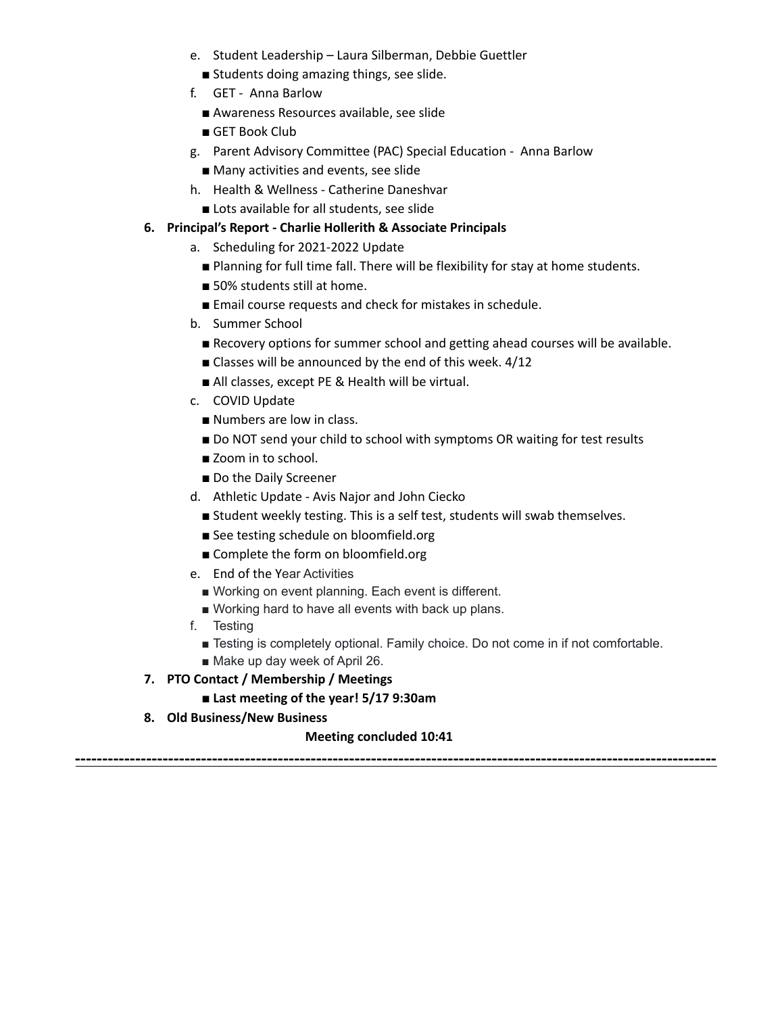- e. Student Leadership Laura Silberman, Debbie Guettler
	- Students doing amazing things, see slide.
- f. GET Anna Barlow
	- Awareness Resources available, see slide
	- GET Book Club
- g. Parent Advisory Committee (PAC) Special Education Anna Barlow
	- Many activities and events, see slide
- h. Health & Wellness Catherine Daneshvar
- Lots available for all students, see slide

### **6. Principal's Report - Charlie Hollerith & Associate Principals**

- a. Scheduling for 2021-2022 Update
	- Planning for full time fall. There will be flexibility for stay at home students.
	- 50% students still at home.
	- Email course requests and check for mistakes in schedule.
- b. Summer School
	- Recovery options for summer school and getting ahead courses will be available.
	- Classes will be announced by the end of this week. 4/12
	- All classes, except PE & Health will be virtual.
- c. COVID Update
	- Numbers are low in class.
	- Do NOT send your child to school with symptoms OR waiting for test results
	- Zoom in to school.
	- Do the Daily Screener
- d. Athletic Update Avis Najor and John Ciecko
	- Student weekly testing. This is a self test, students will swab themselves.
	- See testing schedule on bloomfield.org
	- Complete the form on bloomfield.org
- e. End of the Year Activities
	- Working on event planning. Each event is different.
	- Working hard to have all events with back up plans.
- f. Testing
	- Testing is completely optional. Family choice. Do not come in if not comfortable.
	- Make up day week of April 26.
- **7. PTO Contact / Membership / Meetings**
	- **■ Last meeting of the year! 5/17 9:30am**
- **8. Old Business/New Business**

#### **Meeting concluded 10:41**

**---------------------------------------------------------------------------------------------------------------------**